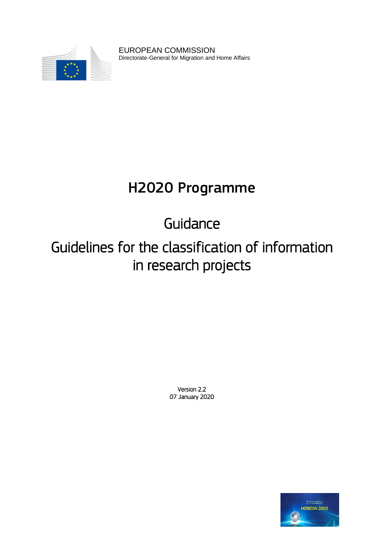

EUROPEAN COMMISSION Directorate-General for Migration and Home Affairs

# H2020 Programme

Guidance

Guidelines for the classification of information in research projects

> Version 2.2 07 January 2020

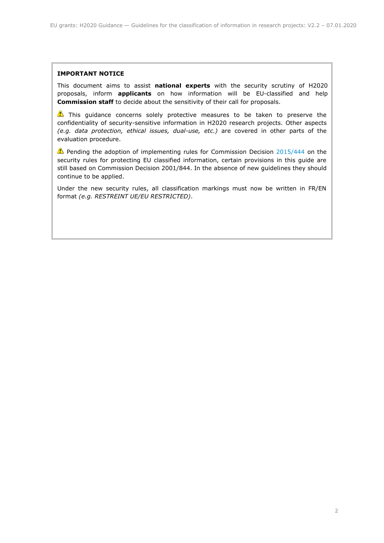#### **IMPORTANT NOTICE**

This document aims to assist **national experts** with the security scrutiny of H2020 proposals, inform **applicants** on how information will be EU-classified and help **Commission staff** to decide about the sensitivity of their call for proposals.

This guidance concerns solely protective measures to be taken to preserve the confidentiality of security-sensitive information in H2020 research projects. Other aspects *(e.g. data protection, ethical issues, dual-use, etc.)* are covered in other parts of the evaluation procedure.

**Pending the adoption of implementing rules for Commission Decision [2015/444](http://eur-lex.europa.eu/legal-content/EN/TXT/PDF/?uri=OJ:JOL_2015_072_R_0011&qid=1427204240846&from=EN) on the** security rules for protecting EU classified information, certain provisions in this guide are still based on Commission Decision 2001/844. In the absence of new guidelines they should continue to be applied.

Under the new security rules, all classification markings must now be written in FR/EN format *(e.g. RESTREINT UE/EU RESTRICTED)*.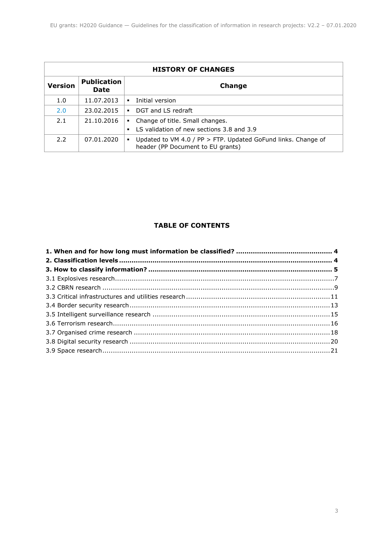| <b>HISTORY OF CHANGES</b> |                                   |                                                                                                         |  |
|---------------------------|-----------------------------------|---------------------------------------------------------------------------------------------------------|--|
| <b>Version</b>            | <b>Publication</b><br><b>Date</b> | Change                                                                                                  |  |
| 1.0                       | 11.07.2013                        | Initial version<br>٠                                                                                    |  |
| 2.0                       | 23.02.2015                        | DGT and LS redraft<br>$\blacksquare$                                                                    |  |
| 2.1                       | 21.10.2016                        | Change of title. Small changes.<br>٠<br>LS validation of new sections 3.8 and 3.9                       |  |
| 2.2                       | 07.01.2020                        | Updated to VM 4.0 / PP > FTP. Updated GoFund links. Change of<br>٠<br>header (PP Document to EU grants) |  |

# **TABLE OF CONTENTS**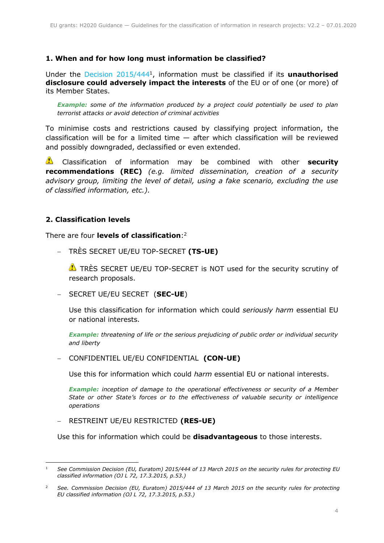# <span id="page-3-0"></span>**1. When and for how long must information be classified?**

Under the Decision 2015/444<sup>1</sup> , information must be classified if its **unauthorised disclosure could adversely impact the interests** of the EU or of one (or more) of its Member States.

*Example: some of the information produced by a project could potentially be used to plan terrorist attacks or avoid detection of criminal activities*

To minimise costs and restrictions caused by classifying project information, the classification will be for a limited time  $-$  after which classification will be reviewed and possibly downgraded, declassified or even extended.

Classification of information may be combined with other **security recommendations (REC)** *(e.g. limited dissemination, creation of a security advisory group, limiting the level of detail, using a fake scenario, excluding the use of classified information, etc.).*

# <span id="page-3-1"></span>**2. Classification levels**

There are four **levels of classification**: 2

TRÈS SECRET UE/EU TOP-SECRET **(TS-UE)**

**T** TRES SECRET UE/EU TOP-SECRET is NOT used for the security scrutiny of research proposals.

SECRET UE/EU SECRET (**SEC-UE**)

Use this classification for information which could *seriously harm* essential EU or national interests.

*Example: threatening of life or the serious prejudicing of public order or individual security and liberty*

CONFIDENTIEL UE/EU CONFIDENTIAL **(CON-UE)**

Use this for information which could *harm* essential EU or national interests.

*Example: inception of damage to the operational effectiveness or security of a Member State or other State's forces or to the effectiveness of valuable security or intelligence operations*

RESTREINT UE/EU RESTRICTED **(RES-UE)**

Use this for information which could be **disadvantageous** to those interests.

<sup>-</sup><sup>1</sup> *See Commission Decision (EU, Euratom) 2015/444 of 13 March 2015 on the security rules for protecting EU classified information (OJ L 72, 17.3.2015, p.53.)*

<sup>2</sup> *See. Commission Decision (EU, Euratom) 2015/444 of 13 March 2015 on the security rules for protecting EU classified information (OJ L 72, 17.3.2015, p.53.)*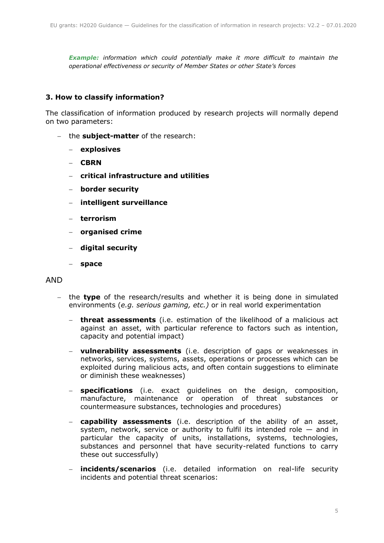*Example: information which could potentially make it more difficult to maintain the operational effectiveness or security of Member States or other State's forces*

# <span id="page-4-0"></span>**3. How to classify information?**

The classification of information produced by research projects will normally depend on two parameters:

- the **subject-matter** of the research:
	- **explosives**
	- **CBRN**
	- **critical infrastructure and utilities**
	- **border security**
	- **intelligent surveillance**
	- **terrorism**
	- **organised crime**
	- **digital security**
	- **space**

# AND

- the **type** of the research/results and whether it is being done in simulated environments (*e.g. serious gaming, etc.)* or in real world experimentation
	- **threat assessments** (i.e. estimation of the likelihood of a malicious act against an asset, with particular reference to factors such as intention, capacity and potential impact)
	- **vulnerability assessments** (i.e. description of gaps or weaknesses in networks, services, systems, assets, operations or processes which can be exploited during malicious acts, and often contain suggestions to eliminate or diminish these weaknesses)
	- **specifications** (i.e. exact guidelines on the design, composition, manufacture, maintenance or operation of threat substances or countermeasure substances, technologies and procedures)
	- **capability assessments** (i.e. description of the ability of an asset, system, network, service or authority to fulfil its intended role — and in particular the capacity of units, installations, systems, technologies, substances and personnel that have security-related functions to carry these out successfully)
	- **incidents/scenarios** (i.e. detailed information on real-life security incidents and potential threat scenarios: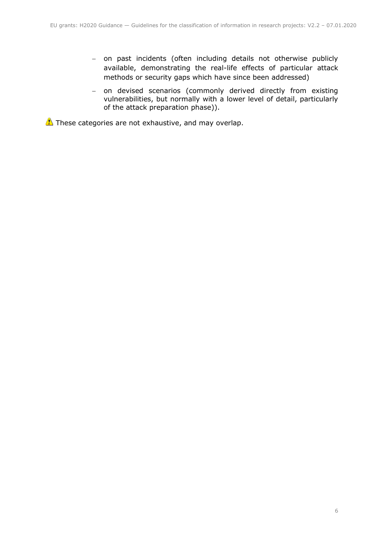- on past incidents (often including details not otherwise publicly available, demonstrating the real-life effects of particular attack methods or security gaps which have since been addressed)
- on devised scenarios (commonly derived directly from existing vulnerabilities, but normally with a lower level of detail, particularly of the attack preparation phase)).

These categories are not exhaustive, and may overlap.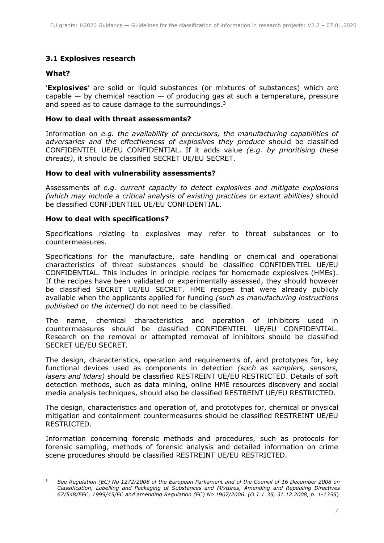# <span id="page-6-0"></span>**3.1 Explosives research**

# **What?**

'**Explosives**' are solid or liquid substances (or mixtures of substances) which are capable  $-$  by chemical reaction  $-$  of producing gas at such a temperature, pressure and speed as to cause damage to the surroundings.<sup>3</sup>

# **How to deal with threat assessments?**

Information on *e.g. the availability of precursors, the manufacturing capabilities of adversaries and the effectiveness of explosives they produce* should be classified CONFIDENTIEL UE/EU CONFIDENTIAL. If it adds value *(e.g. by prioritising these threats)*, it should be classified SECRET UE/EU SECRET.

#### **How to deal with vulnerability assessments?**

Assessments of *e.g. current capacity to detect explosives and mitigate explosions (which may include a critical analysis of existing practices or extant abilities)* should be classified CONFIDENTIEL UE/EU CONFIDENTIAL.

## **How to deal with specifications?**

Specifications relating to explosives may refer to threat substances or to countermeasures.

Specifications for the manufacture, safe handling or chemical and operational characteristics of threat substances should be classified CONFIDENTIEL UE/EU CONFIDENTIAL. This includes in principle recipes for homemade explosives (HMEs). If the recipes have been validated or experimentally assessed, they should however be classified SECRET UE/EU SECRET. HME recipes that were already publicly available when the applicants applied for funding *(such as manufacturing instructions published on the internet)* do not need to be classified.

The name, chemical characteristics and operation of inhibitors used in countermeasures should be classified CONFIDENTIEL UE/EU CONFIDENTIAL. Research on the removal or attempted removal of inhibitors should be classified SECRET UE/EU SECRET.

The design, characteristics, operation and requirements of, and prototypes for, key functional devices used as components in detection *(such as samplers, sensors, lasers and lidars)* should be classified RESTREINT UE/EU RESTRICTED. Details of soft detection methods, such as data mining, online HME resources discovery and social media analysis techniques, should also be classified RESTREINT UE/EU RESTRICTED.

The design, characteristics and operation of, and prototypes for, chemical or physical mitigation and containment countermeasures should be classified RESTREINT UE/EU RESTRICTED.

Information concerning forensic methods and procedures, such as protocols for forensic sampling, methods of forensic analysis and detailed information on crime scene procedures should be classified RESTREINT UE/EU RESTRICTED.

<sup>-</sup><sup>3</sup> *See Regulation (EC) No 1272/2008 of the European Parliament and of the Council of 16 December 2008 on Classification, Labelling and Packaging of Substances and Mixtures, Amending and Repealing Directives 67/548/EEC, 1999/45/EC and amending Regulation (EC) No 1907/2006. (O.J. L 35, 31.12.2008, p. 1-1355)*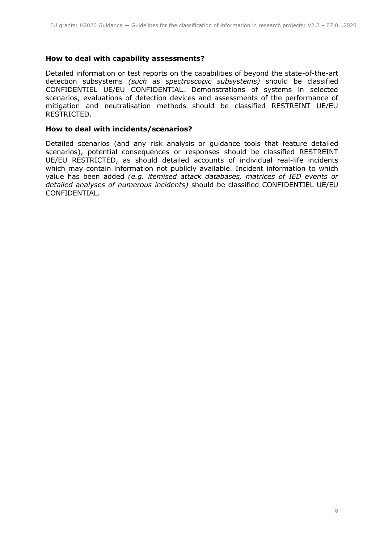# **How to deal with capability assessments?**

Detailed information or test reports on the capabilities of beyond the state-of-the-art detection subsystems *(such as spectroscopic subsystems)* should be classified CONFIDENTIEL UE/EU CONFIDENTIAL. Demonstrations of systems in selected scenarios, evaluations of detection devices and assessments of the performance of mitigation and neutralisation methods should be classified RESTREINT UE/EU RESTRICTED.

## **How to deal with incidents/scenarios?**

Detailed scenarios (and any risk analysis or guidance tools that feature detailed scenarios), potential consequences or responses should be classified RESTREINT UE/EU RESTRICTED, as should detailed accounts of individual real-life incidents which may contain information not publicly available. Incident information to which value has been added *(e.g. itemised attack databases, matrices of IED events or detailed analyses of numerous incidents)* should be classified CONFIDENTIEL UE/EU CONFIDENTIAL.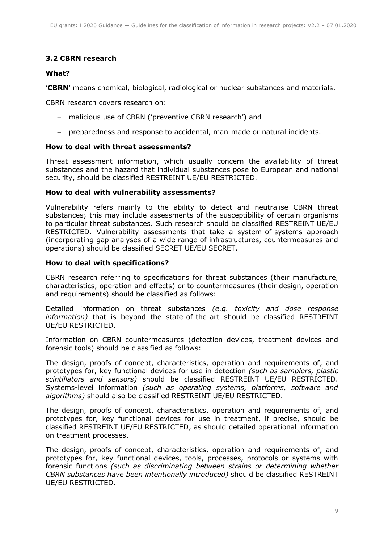# <span id="page-8-0"></span>**3.2 CBRN research**

# **What?**

'**CBRN**' means chemical, biological, radiological or nuclear substances and materials.

CBRN research covers research on:

- malicious use of CBRN ('preventive CBRN research') and
- preparedness and response to accidental, man-made or natural incidents.

#### **How to deal with threat assessments?**

Threat assessment information, which usually concern the availability of threat substances and the hazard that individual substances pose to European and national security, should be classified RESTREINT UE/EU RESTRICTED.

## **How to deal with vulnerability assessments?**

Vulnerability refers mainly to the ability to detect and neutralise CBRN threat substances; this may include assessments of the susceptibility of certain organisms to particular threat substances. Such research should be classified RESTREINT UE/EU RESTRICTED. Vulnerability assessments that take a system-of-systems approach (incorporating gap analyses of a wide range of infrastructures, countermeasures and operations) should be classified SECRET UE/EU SECRET.

#### **How to deal with specifications?**

CBRN research referring to specifications for threat substances (their manufacture, characteristics, operation and effects) or to countermeasures (their design, operation and requirements) should be classified as follows:

Detailed information on threat substances *(e.g. toxicity and dose response information)* that is beyond the state-of-the-art should be classified RESTREINT UE/EU RESTRICTED.

Information on CBRN countermeasures (detection devices, treatment devices and forensic tools) should be classified as follows:

The design, proofs of concept, characteristics, operation and requirements of, and prototypes for, key functional devices for use in detection *(such as samplers, plastic scintillators and sensors)* should be classified RESTREINT UE/EU RESTRICTED. Systems-level information *(such as operating systems, platforms, software and algorithms)* should also be classified RESTREINT UE/EU RESTRICTED.

The design, proofs of concept, characteristics, operation and requirements of, and prototypes for, key functional devices for use in treatment, if precise, should be classified RESTREINT UE/EU RESTRICTED, as should detailed operational information on treatment processes.

The design, proofs of concept, characteristics, operation and requirements of, and prototypes for, key functional devices, tools, processes, protocols or systems with forensic functions *(such as discriminating between strains or determining whether CBRN substances have been intentionally introduced)* should be classified RESTREINT UE/EU RESTRICTED.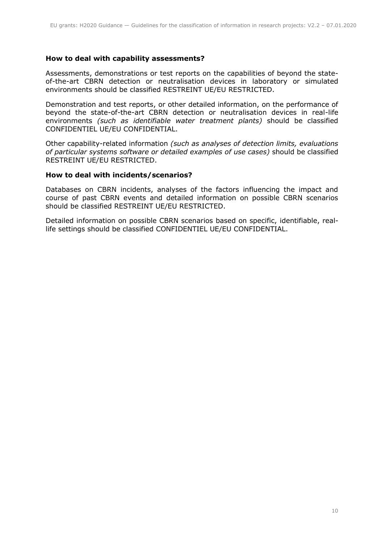# **How to deal with capability assessments?**

Assessments, demonstrations or test reports on the capabilities of beyond the stateof-the-art CBRN detection or neutralisation devices in laboratory or simulated environments should be classified RESTREINT UE/EU RESTRICTED.

Demonstration and test reports, or other detailed information, on the performance of beyond the state-of-the-art CBRN detection or neutralisation devices in real-life environments *(such as identifiable water treatment plants)* should be classified CONFIDENTIEL UE/EU CONFIDENTIAL.

Other capability-related information *(such as analyses of detection limits, evaluations of particular systems software or detailed examples of use cases)* should be classified RESTREINT UE/EU RESTRICTED.

#### **How to deal with incidents/scenarios?**

Databases on CBRN incidents, analyses of the factors influencing the impact and course of past CBRN events and detailed information on possible CBRN scenarios should be classified RESTREINT UE/EU RESTRICTED.

Detailed information on possible CBRN scenarios based on specific, identifiable, reallife settings should be classified CONFIDENTIEL UE/EU CONFIDENTIAL.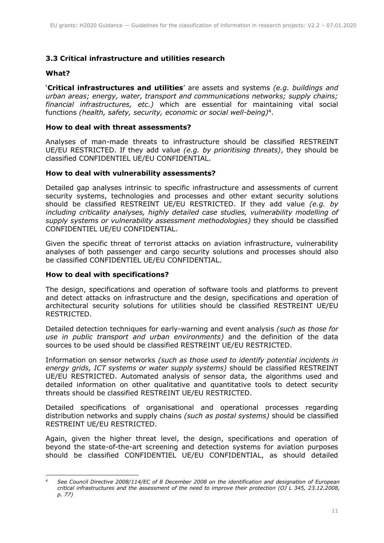# <span id="page-10-0"></span>**3.3 Critical infrastructure and utilities research**

# **What?**

'**Critical infrastructures and utilities**' are assets and systems *(e.g. buildings and urban areas; energy, water, transport and communications networks; supply chains; financial infrastructures, etc.)* which are essential for maintaining vital social functions *(health, safety, security, economic or social well-being)*<sup>4</sup> .

#### **How to deal with threat assessments?**

Analyses of man-made threats to infrastructure should be classified RESTREINT UE/EU RESTRICTED. If they add value *(e.g. by prioritising threats)*, they should be classified CONFIDENTIEL UE/EU CONFIDENTIAL.

#### **How to deal with vulnerability assessments?**

Detailed gap analyses intrinsic to specific infrastructure and assessments of current security systems, technologies and processes and other extant security solutions should be classified RESTREINT UE/EU RESTRICTED. If they add value *(e.g. by including criticality analyses, highly detailed case studies, vulnerability modelling of supply systems or vulnerability assessment methodologies)* they should be classified CONFIDENTIEL UE/EU CONFIDENTIAL.

Given the specific threat of terrorist attacks on aviation infrastructure, vulnerability analyses of both passenger and cargo security solutions and processes should also be classified CONFIDENTIEL UE/EU CONFIDENTIAL.

#### **How to deal with specifications?**

The design, specifications and operation of software tools and platforms to prevent and detect attacks on infrastructure and the design, specifications and operation of architectural security solutions for utilities should be classified RESTREINT UE/EU RESTRICTED.

Detailed detection techniques for early-warning and event analysis *(such as those for use in public transport and urban environments)* and the definition of the data sources to be used should be classified RESTREINT UE/EU RESTRICTED.

Information on sensor networks *(such as those used to identify potential incidents in energy grids, ICT systems or water supply systems)* should be classified RESTREINT UE/EU RESTRICTED. Automated analysis of sensor data, the algorithms used and detailed information on other qualitative and quantitative tools to detect security threats should be classified RESTREINT UE/EU RESTRICTED.

Detailed specifications of organisational and operational processes regarding distribution networks and supply chains *(such as postal systems)* should be classified RESTREINT UE/EU RESTRICTED.

Again, given the higher threat level, the design, specifications and operation of beyond the state-of-the-art screening and detection systems for aviation purposes should be classified CONFIDENTIEL UE/EU CONFIDENTIAL, as should detailed

<sup>-</sup>*<sup>4</sup> See Council Directive 2008/114/EC of 8 December 2008 on the identification and designation of European critical infrastructures and the assessment of the need to improve their protection (OJ L 345, 23.12.2008, p. 77)*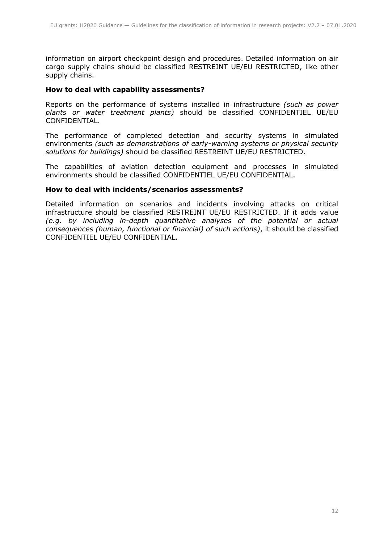information on airport checkpoint design and procedures. Detailed information on air cargo supply chains should be classified RESTREINT UE/EU RESTRICTED, like other supply chains.

# **How to deal with capability assessments?**

Reports on the performance of systems installed in infrastructure *(such as power plants or water treatment plants)* should be classified CONFIDENTIEL UE/EU CONFIDENTIAL.

The performance of completed detection and security systems in simulated environments *(such as demonstrations of early-warning systems or physical security solutions for buildings)* should be classified RESTREINT UE/EU RESTRICTED.

The capabilities of aviation detection equipment and processes in simulated environments should be classified CONFIDENTIEL UE/EU CONFIDENTIAL.

#### **How to deal with incidents/scenarios assessments?**

Detailed information on scenarios and incidents involving attacks on critical infrastructure should be classified RESTREINT UE/EU RESTRICTED. If it adds value *(e.g. by including in-depth quantitative analyses of the potential or actual consequences (human, functional or financial) of such actions)*, it should be classified CONFIDENTIEL UE/EU CONFIDENTIAL.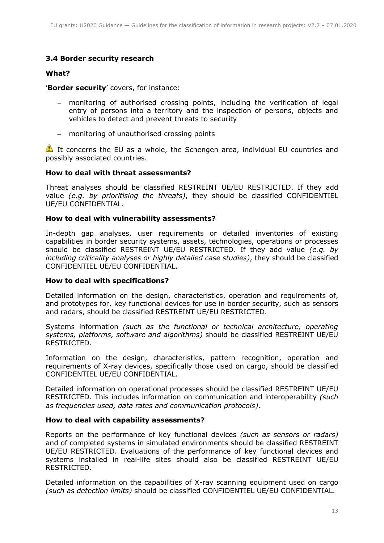# <span id="page-12-0"></span>**3.4 Border security research**

# **What?**

'**Border security**' covers, for instance:

- monitoring of authorised crossing points, including the verification of legal entry of persons into a territory and the inspection of persons, objects and vehicles to detect and prevent threats to security
- monitoring of unauthorised crossing points

It concerns the EU as a whole, the Schengen area, individual EU countries and possibly associated countries.

#### **How to deal with threat assessments?**

Threat analyses should be classified RESTREINT UE/EU RESTRICTED. If they add value *(e.g. by prioritising the threats)*, they should be classified CONFIDENTIEL UE/EU CONFIDENTIAL.

#### **How to deal with vulnerability assessments?**

In-depth gap analyses, user requirements or detailed inventories of existing capabilities in border security systems, assets, technologies, operations or processes should be classified RESTREINT UE/EU RESTRICTED. If they add value *(e.g. by including criticality analyses or highly detailed case studies)*, they should be classified CONFIDENTIEL UE/EU CONFIDENTIAL.

## **How to deal with specifications?**

Detailed information on the design, characteristics, operation and requirements of, and prototypes for, key functional devices for use in border security, such as sensors and radars, should be classified RESTREINT UE/EU RESTRICTED.

Systems information *(such as the functional or technical architecture, operating systems, platforms, software and algorithms)* should be classified RESTREINT UE/EU RESTRICTED.

Information on the design, characteristics, pattern recognition, operation and requirements of X-ray devices, specifically those used on cargo, should be classified CONFIDENTIEL UE/EU CONFIDENTIAL.

Detailed information on operational processes should be classified RESTREINT UE/EU RESTRICTED. This includes information on communication and interoperability *(such as frequencies used, data rates and communication protocols)*.

## **How to deal with capability assessments?**

Reports on the performance of key functional devices *(such as sensors or radars)* and of completed systems in simulated environments should be classified RESTREINT UE/EU RESTRICTED. Evaluations of the performance of key functional devices and systems installed in real-life sites should also be classified RESTREINT UE/EU RESTRICTED.

Detailed information on the capabilities of X-ray scanning equipment used on cargo *(such as detection limits)* should be classified CONFIDENTIEL UE/EU CONFIDENTIAL.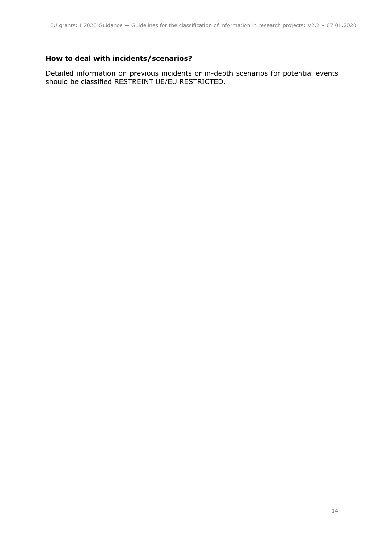# **How to deal with incidents/scenarios?**

Detailed information on previous incidents or in-depth scenarios for potential events should be classified RESTREINT UE/EU RESTRICTED.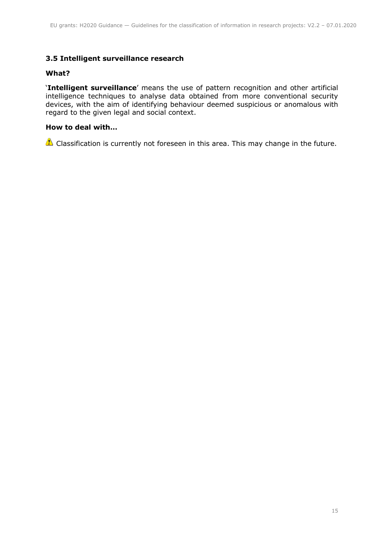# <span id="page-14-0"></span>**3.5 Intelligent surveillance research**

## **What?**

'**Intelligent surveillance**' means the use of pattern recognition and other artificial intelligence techniques to analyse data obtained from more conventional security devices, with the aim of identifying behaviour deemed suspicious or anomalous with regard to the given legal and social context.

# **How to deal with…**

 $\triangle$  Classification is currently not foreseen in this area. This may change in the future.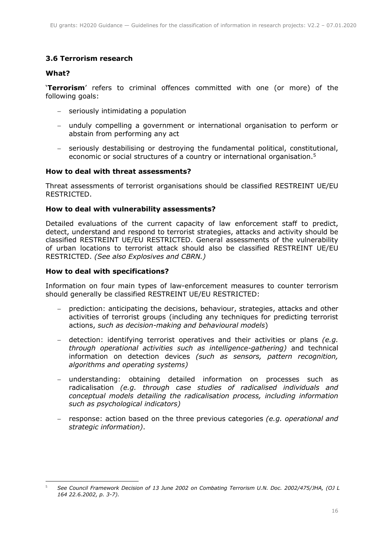# <span id="page-15-0"></span>**3.6 Terrorism research**

# **What?**

'**Terrorism**' refers to criminal offences committed with one (or more) of the following goals:

- seriously intimidating a population
- unduly compelling a government or international organisation to perform or abstain from performing any act
- seriously destabilising or destroying the fundamental political, constitutional, economic or social structures of a country or international organisation.<sup>5</sup>

#### **How to deal with threat assessments?**

Threat assessments of terrorist organisations should be classified RESTREINT UE/EU RESTRICTED.

#### **How to deal with vulnerability assessments?**

Detailed evaluations of the current capacity of law enforcement staff to predict, detect, understand and respond to terrorist strategies, attacks and activity should be classified RESTREINT UE/EU RESTRICTED. General assessments of the vulnerability of urban locations to terrorist attack should also be classified RESTREINT UE/EU RESTRICTED. *(See also Explosives and CBRN.)*

#### **How to deal with specifications?**

Information on four main types of law-enforcement measures to counter terrorism should generally be classified RESTREINT UE/EU RESTRICTED:

- prediction: anticipating the decisions, behaviour, strategies, attacks and other activities of terrorist groups (including any techniques for predicting terrorist actions, *such as decision-making and behavioural models*)
- detection: identifying terrorist operatives and their activities or plans *(e.g. through operational activities such as intelligence-gathering)* and technical information on detection devices *(such as sensors, pattern recognition, algorithms and operating systems)*
- understanding: obtaining detailed information on processes such as radicalisation *(e.g. through case studies of radicalised individuals and conceptual models detailing the radicalisation process, including information such as psychological indicators)*
- response: action based on the three previous categories *(e.g. operational and strategic information)*.

<sup>-</sup><sup>5</sup> *See Council Framework Decision of 13 June 2002 on Combating Terrorism U.N. Doc. 2002/475/JHA, (OJ L 164 22.6.2002, p. 3-7).*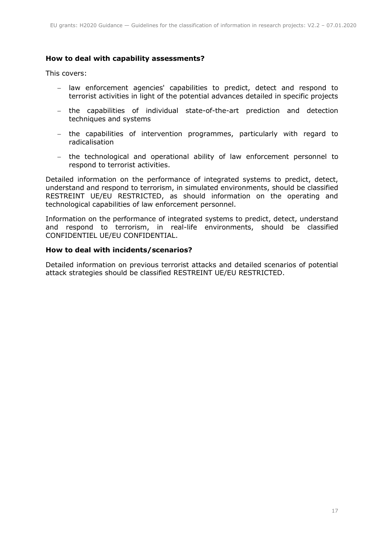# **How to deal with capability assessments?**

This covers:

- law enforcement agencies' capabilities to predict, detect and respond to terrorist activities in light of the potential advances detailed in specific projects
- the capabilities of individual state-of-the-art prediction and detection techniques and systems
- the capabilities of intervention programmes, particularly with regard to radicalisation
- the technological and operational ability of law enforcement personnel to respond to terrorist activities.

Detailed information on the performance of integrated systems to predict, detect, understand and respond to terrorism, in simulated environments, should be classified RESTREINT UE/EU RESTRICTED, as should information on the operating and technological capabilities of law enforcement personnel.

Information on the performance of integrated systems to predict, detect, understand and respond to terrorism, in real-life environments, should be classified CONFIDENTIEL UE/EU CONFIDENTIAL.

## **How to deal with incidents/scenarios?**

Detailed information on previous terrorist attacks and detailed scenarios of potential attack strategies should be classified RESTREINT UE/EU RESTRICTED.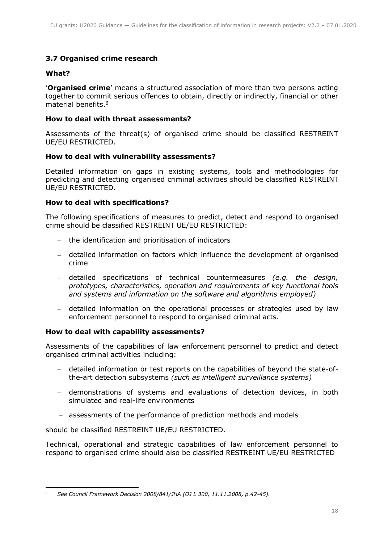# <span id="page-17-0"></span>**3.7 Organised crime research**

# **What?**

'**Organised crime**' means a structured association of more than two persons acting together to commit serious offences to obtain, directly or indirectly, financial or other material benefits. 6

# **How to deal with threat assessments?**

Assessments of the threat(s) of organised crime should be classified RESTREINT UE/EU RESTRICTED.

## **How to deal with vulnerability assessments?**

Detailed information on gaps in existing systems, tools and methodologies for predicting and detecting organised criminal activities should be classified RESTREINT UE/EU RESTRICTED.

## **How to deal with specifications?**

The following specifications of measures to predict, detect and respond to organised crime should be classified RESTREINT UE/EU RESTRICTED:

- the identification and prioritisation of indicators
- detailed information on factors which influence the development of organised crime
- detailed specifications of technical countermeasures *(e.g. the design, prototypes, characteristics, operation and requirements of key functional tools and systems and information on the software and algorithms employed)*
- detailed information on the operational processes or strategies used by law enforcement personnel to respond to organised criminal acts.

## **How to deal with capability assessments?**

Assessments of the capabilities of law enforcement personnel to predict and detect organised criminal activities including:

- detailed information or test reports on the capabilities of beyond the state-ofthe-art detection subsystems *(such as intelligent surveillance systems)*
- demonstrations of systems and evaluations of detection devices, in both simulated and real-life environments
- assessments of the performance of prediction methods and models

should be classified RESTREINT UE/EU RESTRICTED.

Technical, operational and strategic capabilities of law enforcement personnel to respond to organised crime should also be classified RESTREINT UE/EU RESTRICTED

<sup>-</sup><sup>6</sup> *See Council Framework Decision 2008/841/JHA (OJ L 300, 11.11.2008, p.42-45).*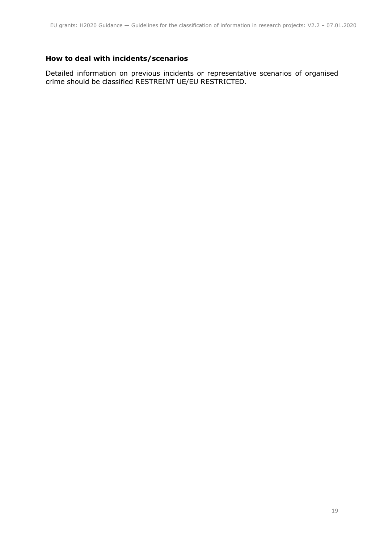# **How to deal with incidents/scenarios**

Detailed information on previous incidents or representative scenarios of organised crime should be classified RESTREINT UE/EU RESTRICTED.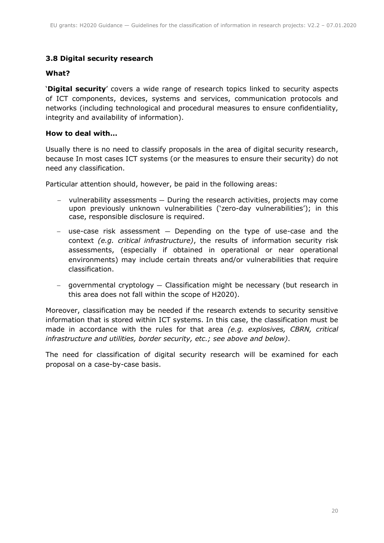# <span id="page-19-0"></span>**3.8 Digital security research**

# **What?**

'**Digital security**' covers a wide range of research topics linked to security aspects of ICT components, devices, systems and services, communication protocols and networks (including technological and procedural measures to ensure confidentiality, integrity and availability of information).

# **How to deal with…**

Usually there is no need to classify proposals in the area of digital security research, because In most cases ICT systems (or the measures to ensure their security) do not need any classification.

Particular attention should, however, be paid in the following areas:

- vulnerability assessments During the research activities, projects may come upon previously unknown vulnerabilities ('zero-day vulnerabilities'); in this case, responsible disclosure is required.
- use-case risk assessment Depending on the type of use-case and the context *(e.g. critical infrastructure)*, the results of information security risk assessments, (especially if obtained in operational or near operational environments) may include certain threats and/or vulnerabilities that require classification.
- governmental cryptology Classification might be necessary (but research in this area does not fall within the scope of H2020).

Moreover, classification may be needed if the research extends to security sensitive information that is stored within ICT systems. In this case, the classification must be made in accordance with the rules for that area *(e.g. explosives, CBRN, critical infrastructure and utilities, border security, etc.; see above and below)*.

The need for classification of digital security research will be examined for each proposal on a case-by-case basis.